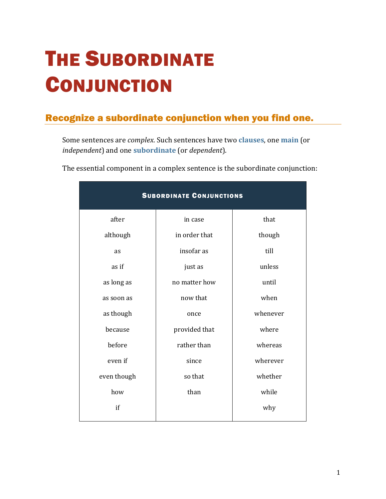## THE SUBORDINATE **CONJUNCTION**

## Recognize a subordinate conjunction when you find one.

Some sentences are *complex*. Such sentences have two **[clauses](https://chompchomp.com/terms/clause.htm)**, one **[main](https://chompchomp.com/terms/mainclause.htm)** (or *independent*) and one **[subordinate](https://chompchomp.com/terms/subordinateclause.htm)** (or *dependent*).

The essential component in a complex sentence is the subordinate conjunction:

| <b>SUBORDINATE CONJUNCTIONS</b> |               |          |
|---------------------------------|---------------|----------|
| after                           | in case       | that     |
| although                        | in order that | though   |
| as                              | insofar as    | till     |
| as if                           | just as       | unless   |
| as long as                      | no matter how | until    |
| as soon as                      | now that      | when     |
| as though                       | once          | whenever |
| because                         | provided that | where    |
| before                          | rather than   | whereas  |
| even if                         | since         | wherever |
| even though                     | so that       | whether  |
| how                             | than          | while    |
| if                              |               | why      |
|                                 |               |          |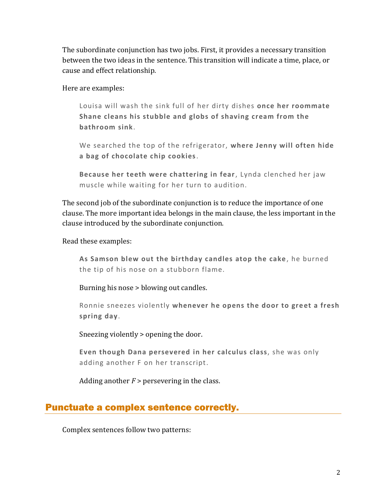The subordinate conjunction has two jobs. First, it provides a necessary transition between the two ideas in the sentence. This transition will indicate a time, place, or cause and effect relationship.

Here are examples:

Louisa will wash the sink full of her dirty dishes **once her roommate Shane cleans his stubble and globs of shaving cream from the bathroom sink**.

We searched the top of the refrigerator, **where Jenny will often hide a bag of chocolate chip cookies**.

**Because her teeth were chattering in fear**, Lynda clenched her jaw muscle while waiting for her turn to audition.

The second job of the subordinate conjunction is to reduce the importance of one clause. The more important idea belongs in the main clause, the less important in the clause introduced by the subordinate conjunction.

Read these examples:

**As Samson blew out the birthday candles atop the cake** , he burned the tip of his nose on a stubborn flame.

Burning his nose > blowing out candles.

Ronnie sneezes violently **whenever he opens the door to greet a fresh spring day**.

Sneezing violently > opening the door.

**Even though Dana persevered in her calculus class**, she was only adding another F on her transcript.

Adding another  $F$  > persevering in the class.

## Punctuate a complex sentence correctly.

Complex sentences follow two patterns: